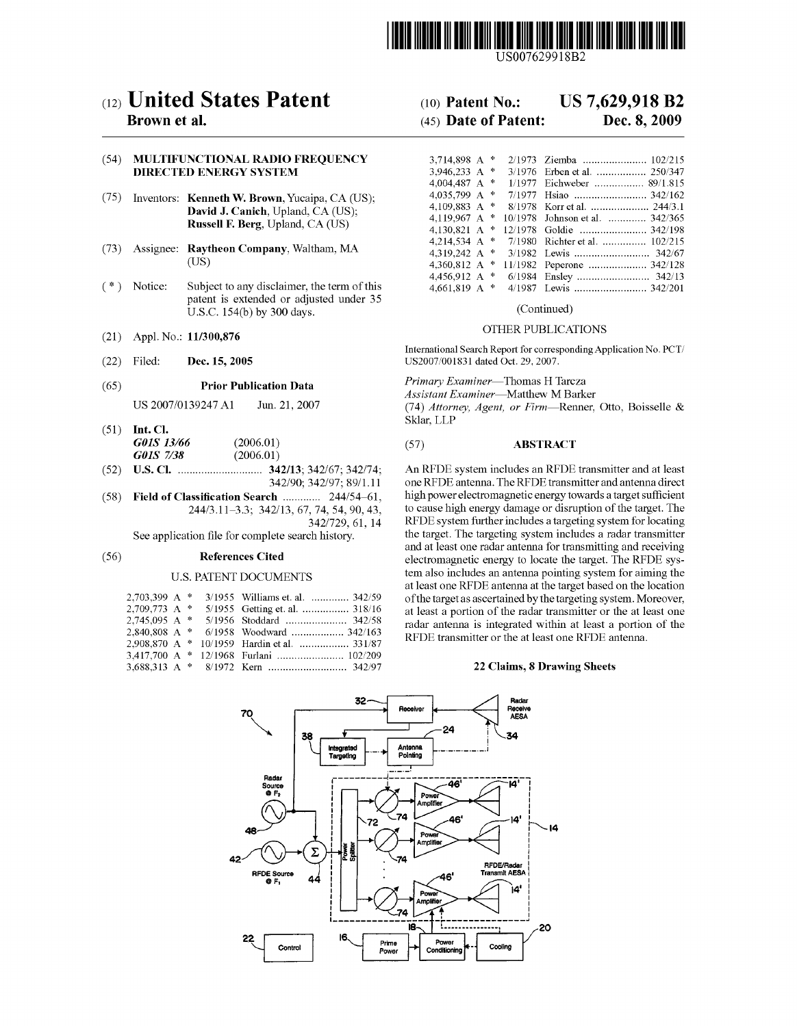

US007629918B2

# (12) United States Patent (10) Patent No.: US 7,629,918 B2<br>Brown et al. (45) Date of Patent: Dec. 8, 2009

# (54) MULTIFUNCTIONAL RADIO FREQUENCY DIRECTED ENERGY SYSTEM

- (75) Inventors: **Kenneth W. Brown**, Yucaipa, CA (US); **David J. Canich**, Upland, CA (US);
- $(73)$  Assignee: **Raytheon Company**, Waltham, MA  $(1)$
- $(* )$  Notice: Subject to any disclaimer, the term of this patent is extended or adjusted under 35 U.S.C.  $154(b)$  by 300 days. (Continued)
- (21) Appl. No.: 11/300,876 OTHER PUBLICATIONS
- 

# (65) **Prior Publication Data** Primary Examiner—Thomas H Tarcza

- (51) Int. Cl.<br> $G01S$  13/66  $(2006.01)$  (57) **ABSTRACT** (2006.01) G01S 7/38
- 
- (58) Field of Classification Search ............... 244/54-61,<br>244/3.11-3.3; 342/13, 67, 74, 54, 90, 43,

# U.S. PATENT DOCUMENTS

| 3/1955 Williams et. al.  342/59 |
|---------------------------------|
| 5/1955 Getting et. al.  318/16  |
| 5/1956 Stoddard  342/58         |
| 6/1958 Woodward  342/163        |
| 10/1959 Hardin et al.  331/87   |
|                                 |
|                                 |
|                                 |

# $(45)$  Date of Patent:

| NCTIONAL RADIO FREQUENCY-                   |  |                                                 |
|---------------------------------------------|--|-------------------------------------------------|
| <b>D ENERGY SYSTEM</b>                      |  |                                                 |
|                                             |  |                                                 |
| <b>Kenneth W. Brown</b> , Yucaipa, CA (US); |  |                                                 |
| <b>David J. Canich</b> , Upland, CA (US);   |  |                                                 |
|                                             |  | 4,119,967 A $*$ 10/1978 Johnson et al.  342/365 |
| <b>Russell F. Berg, Upland, CA (US)</b>     |  |                                                 |
|                                             |  | 4,214,534 A $*$ 7/1980 Richter et al.  102/215  |
| Raytheon Company, Waltham, MA               |  |                                                 |
| (US)                                        |  |                                                 |
|                                             |  |                                                 |
| Subject to any disclaimer, the term of this |  |                                                 |

International Search Report for corresponding Application No. PCT/ (22) Filed: Dec. 15, 2005 US2007/001831 dated Oct. 29, 2007.

Assistant Examiner-Matthew M Barker

US 2007/0139247 A1 Jun. 21, 2007 (74) Attorney, Agent, or Firm—Renner, Otto, Boisselle & Sklar, LLP

(52) U.S. Cl.  $\ldots$   $\ldots$   $\ldots$   $\ldots$   $\ldots$   $\ldots$   $\ldots$   $\ldots$   $\ldots$   $\ldots$   $\ldots$   $\ldots$   $\ldots$   $\ldots$   $\ldots$   $\ldots$   $\ldots$   $\ldots$   $\ldots$   $\ldots$   $\ldots$   $\ldots$   $\ldots$   $\ldots$   $\ldots$   $\ldots$   $\ldots$   $\ldots$   $\ldots$   $\ldots$   $\ldots$   $\ldots$   $\ldots$   $\ldots$   $\ld$ one RFDE antenna. The RFDE transmitter and antenna direct<br>high power electromagnetic energy towards a target sufficient  $27, 74, 54, 90, 43,$  to cause high energy damage or disruption of the target. The  $342/729, 61, 14$  RFDE system further includes a targeting system for locating RFDE system further includes a targeting system for locating<br>the target. The targeting system includes a radar transmitter See application file for complete search history. the target. The targeting system includes a radar transmitter and at least one radar antenna for transmitting and receiving (56) **References Cited** electromagnetic energy to locate the target. The RFDE system also includes an antenna pointing system for aiming the at least one RFDE antenna at the target based on the location of the target as ascertained by the targeting system. Moreover, at least a portion of the radar transmitter or the at least one radar antenna is integrated within at least a portion of the RFDE transmitter or the at least one RFDE antenna.

### 22 Claims, 8 Drawing Sheets

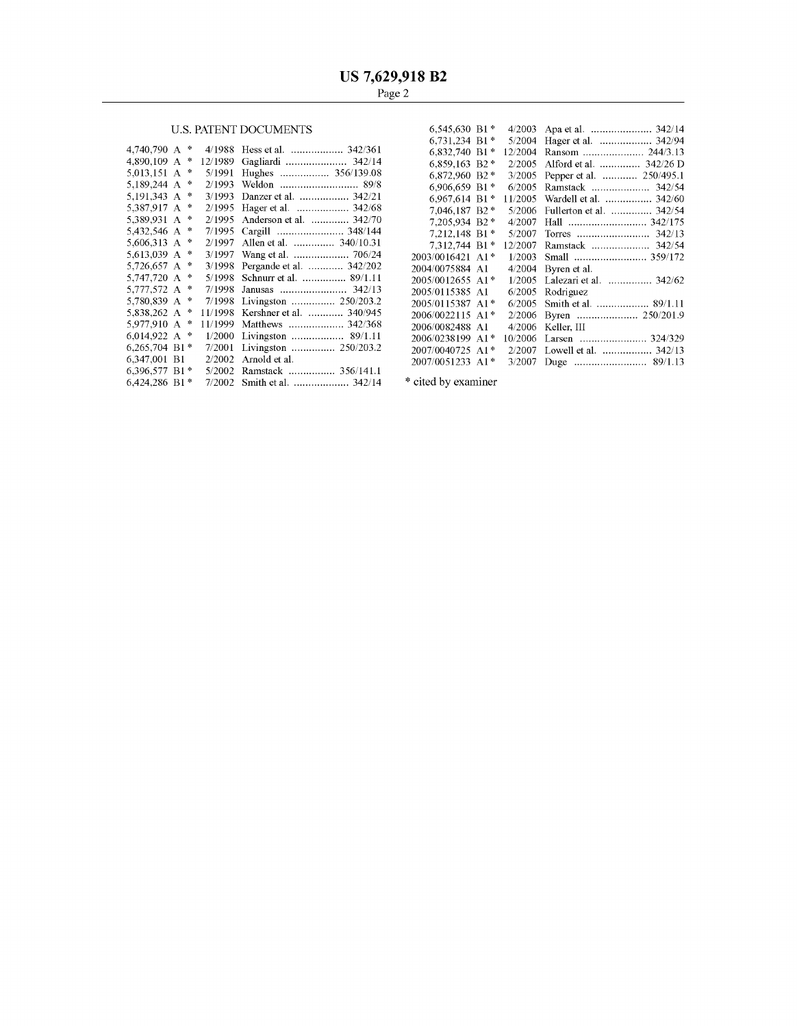# U.S. PATENT DOCUMENTS

| 4,740,790 A $*$<br>4.890.109 A $*$ |                                                                                                                                                                                                                                                                                                                                                            | 4/1988 Hess et al.  342/361 | $6,832,740$ B1 <sup>*</sup>                                                                                                                                                                                                                                                                                                                                                                                                                                                                                          |                                                                                                                                                                                                                                                                                                                                                          |                                  |
|------------------------------------|------------------------------------------------------------------------------------------------------------------------------------------------------------------------------------------------------------------------------------------------------------------------------------------------------------------------------------------------------------|-----------------------------|----------------------------------------------------------------------------------------------------------------------------------------------------------------------------------------------------------------------------------------------------------------------------------------------------------------------------------------------------------------------------------------------------------------------------------------------------------------------------------------------------------------------|----------------------------------------------------------------------------------------------------------------------------------------------------------------------------------------------------------------------------------------------------------------------------------------------------------------------------------------------------------|----------------------------------|
|                                    |                                                                                                                                                                                                                                                                                                                                                            |                             |                                                                                                                                                                                                                                                                                                                                                                                                                                                                                                                      |                                                                                                                                                                                                                                                                                                                                                          | 12/2004 Ransom  244/3.13         |
|                                    |                                                                                                                                                                                                                                                                                                                                                            |                             | 6.859.163 B2*                                                                                                                                                                                                                                                                                                                                                                                                                                                                                                        |                                                                                                                                                                                                                                                                                                                                                          | 2/2005 Alford et al.  342/26 D   |
|                                    |                                                                                                                                                                                                                                                                                                                                                            |                             |                                                                                                                                                                                                                                                                                                                                                                                                                                                                                                                      |                                                                                                                                                                                                                                                                                                                                                          | 3/2005 Pepper et al.  250/495.1  |
|                                    |                                                                                                                                                                                                                                                                                                                                                            |                             |                                                                                                                                                                                                                                                                                                                                                                                                                                                                                                                      |                                                                                                                                                                                                                                                                                                                                                          | 6/2005 Ramstack  342/54          |
|                                    |                                                                                                                                                                                                                                                                                                                                                            |                             |                                                                                                                                                                                                                                                                                                                                                                                                                                                                                                                      |                                                                                                                                                                                                                                                                                                                                                          | 11/2005 Wardell et al.  342/60   |
|                                    |                                                                                                                                                                                                                                                                                                                                                            |                             |                                                                                                                                                                                                                                                                                                                                                                                                                                                                                                                      |                                                                                                                                                                                                                                                                                                                                                          | 5/2006 Fullerton et al.  342/54  |
|                                    |                                                                                                                                                                                                                                                                                                                                                            |                             |                                                                                                                                                                                                                                                                                                                                                                                                                                                                                                                      | 4/2007                                                                                                                                                                                                                                                                                                                                                   |                                  |
|                                    |                                                                                                                                                                                                                                                                                                                                                            |                             |                                                                                                                                                                                                                                                                                                                                                                                                                                                                                                                      |                                                                                                                                                                                                                                                                                                                                                          |                                  |
|                                    |                                                                                                                                                                                                                                                                                                                                                            |                             |                                                                                                                                                                                                                                                                                                                                                                                                                                                                                                                      | 12/2007                                                                                                                                                                                                                                                                                                                                                  |                                  |
|                                    |                                                                                                                                                                                                                                                                                                                                                            |                             |                                                                                                                                                                                                                                                                                                                                                                                                                                                                                                                      |                                                                                                                                                                                                                                                                                                                                                          |                                  |
|                                    |                                                                                                                                                                                                                                                                                                                                                            |                             |                                                                                                                                                                                                                                                                                                                                                                                                                                                                                                                      |                                                                                                                                                                                                                                                                                                                                                          | $4/2004$ Byren et al.            |
|                                    |                                                                                                                                                                                                                                                                                                                                                            |                             |                                                                                                                                                                                                                                                                                                                                                                                                                                                                                                                      |                                                                                                                                                                                                                                                                                                                                                          | $1/2005$ Lalezari et al.  342/62 |
|                                    |                                                                                                                                                                                                                                                                                                                                                            |                             |                                                                                                                                                                                                                                                                                                                                                                                                                                                                                                                      |                                                                                                                                                                                                                                                                                                                                                          | $6/2005$ Rodriguez               |
|                                    |                                                                                                                                                                                                                                                                                                                                                            |                             |                                                                                                                                                                                                                                                                                                                                                                                                                                                                                                                      |                                                                                                                                                                                                                                                                                                                                                          |                                  |
|                                    |                                                                                                                                                                                                                                                                                                                                                            |                             |                                                                                                                                                                                                                                                                                                                                                                                                                                                                                                                      |                                                                                                                                                                                                                                                                                                                                                          |                                  |
|                                    |                                                                                                                                                                                                                                                                                                                                                            |                             |                                                                                                                                                                                                                                                                                                                                                                                                                                                                                                                      |                                                                                                                                                                                                                                                                                                                                                          | $4/2006$ Keller, III             |
|                                    |                                                                                                                                                                                                                                                                                                                                                            |                             |                                                                                                                                                                                                                                                                                                                                                                                                                                                                                                                      |                                                                                                                                                                                                                                                                                                                                                          | 10/2006 Larsen  324/329          |
|                                    |                                                                                                                                                                                                                                                                                                                                                            |                             |                                                                                                                                                                                                                                                                                                                                                                                                                                                                                                                      |                                                                                                                                                                                                                                                                                                                                                          | 2/2007 Lowell et al.  342/13     |
|                                    |                                                                                                                                                                                                                                                                                                                                                            |                             |                                                                                                                                                                                                                                                                                                                                                                                                                                                                                                                      |                                                                                                                                                                                                                                                                                                                                                          |                                  |
|                                    |                                                                                                                                                                                                                                                                                                                                                            |                             |                                                                                                                                                                                                                                                                                                                                                                                                                                                                                                                      |                                                                                                                                                                                                                                                                                                                                                          |                                  |
|                                    |                                                                                                                                                                                                                                                                                                                                                            |                             |                                                                                                                                                                                                                                                                                                                                                                                                                                                                                                                      |                                                                                                                                                                                                                                                                                                                                                          |                                  |
|                                    | 5,013,151 A *<br>5,189,244 A *<br>5,191,343 A $*$<br>5,387,917 A *<br>5.389.931 A *<br>5,432,546 A *<br>5.606.313 A $*$<br>5.613.039 A $*$<br>5.726.657 A $*$<br>5,747,720 A *<br>5,777,572 A *<br>5.780.839 A $*$<br>5,838,262 A $*$<br>5,977,910 A *<br>6.014.922 A $*$<br>$6,265,704$ B1 <sup>*</sup><br>6.347.001 B1<br>6,396,577 B1*<br>6,424,286 B1* |                             | 5/1991 Hughes  356/139.08<br>3/1993 Danzer et al.  342/21<br>2/1995 Hager et al.  342/68<br>2/1995 Anderson et al.  342/70<br>7/1995 Cargill  348/144<br>2/1997 Allen et al.  340/10.31<br>3/1998 Pergande et al.  342/202<br>5/1998 Schnurr et al.  89/1.11<br>7/1998 Livingston  250/203.2<br>11/1998 Kershner et al.  340/945<br>11/1999 Matthews  342/368<br>$1/2000$ Livingston  89/1.11<br>7/2001 Livingston  250/203.2<br>$2/2002$ Arnold et al.<br>5/2002 Ramstack  356/141.1<br>7/2002 Smith et al.  342/14 | $6.872.960 B2*$<br>6.906.659 B1 $*$<br>$6.967.614 B1*$<br>7.046.187 B2 *<br>7.205.934 B2 *<br>7.212.148 B1*<br>7.312.744 B1*<br>2003/0016421 A1*<br>2004/0075884 A1<br>2005/0012655 A1*<br>2005/0115385 A1<br>2005/0115387 A1*<br>2006/0022115 A1*<br>2006/0082488 A1<br>2006/0238199 A1*<br>2007/0040725 A1*<br>2007/0051233 A1*<br>* cited by examiner |                                  |

|                 |               | <b>U.S. PATENT DOCUMENTS</b>                   | $6,545,630$ B1 <sup>*</sup> |                                 |
|-----------------|---------------|------------------------------------------------|-----------------------------|---------------------------------|
|                 |               |                                                | $6.731.234$ B1 $*$          | 5/2004 Hager et al.  342/94     |
| 4,740,790 A *   |               | 4/1988 Hess et al.  342/361                    | $6,832,740$ B1*             | 12/2004 Ransom  244/3.13        |
| 4.890.109 A *   |               |                                                | 6.859.163 B2*               | 2/2005 Alford et al.  342/26 D  |
| 5,013,151 A $*$ |               | 5/1991 Hughes  356/139.08                      | 6,872,960 B2 *              | 3/2005 Pepper et al.  250/495.1 |
| 5.189.244 A $*$ |               |                                                | 6.906.659 B1*               | 6/2005 Ramstack  342/54         |
| 5,191,343 A $*$ |               | 3/1993 Danzer et al.  342/21                   | $6.967.614 B1*$             | 11/2005 Wardell et al.  342/60  |
| 5.387.917 A $*$ |               | 2/1995 Hager et al.  342/68                    | 7.046.187 B2 *              | 5/2006 Fullerton et al.  342/54 |
| 5,389,931 A *   |               | 2/1995 Anderson et al.  342/70                 | 7,205,934 B2 *              |                                 |
| 5.432.546 A $*$ |               | 7/1995 Cargill  348/144                        | 7.212.148 B1*               |                                 |
| 5.606.313 A $*$ |               | 2/1997 Allen et al.  340/10.31                 | $7.312.744 B1*$             | 12/2007 Ramstack  342/54        |
| 5,613,039 A $*$ |               | 3/1997 Wang et al.  706/24                     | 2003/0016421 A1*            |                                 |
| 5.726.657 A $*$ |               | 3/1998 Pergande et al.  342/202                | 2004/0075884 A1             | $4/2004$ Byren et al.           |
| 5.747.720 A $*$ |               | 5/1998 Schnurr et al.  89/1.11                 | 2005/0012655 A1*            | 1/2005 Lalezari et al.  342/62  |
| 5.777.572 A     | $\frac{1}{2}$ |                                                | 2005/0115385 A1             | $6/2005$ Rodriguez              |
| 5.780.839 A $*$ |               | 7/1998 Livingston  250/203.2                   | 2005/0115387 A1*            | 6/2005 Smith et al.  89/1.11    |
|                 |               | 5,838,262 A * 11/1998 Kershner et al.  340/945 | 2006/0022115 A1*            |                                 |
|                 |               | 5,977,910 A * 11/1999 Matthews  342/368        | 2006/0082488 A1             | 4/2006 Keller, III              |
| 6.014.922 A $*$ |               | 1/2000 Livingston  89/1.11                     | 2006/0238199 A1*            | 10/2006 Larsen  324/329         |
| 6,265,704 B1*   |               | 7/2001 Livingston  250/203.2                   |                             |                                 |
| 6.347.001 B1    |               | $2/2002$ Arnold et al.                         | 2007/0040725 A1*            | 2/2007 Lowell et al.  342/13    |
|                 |               |                                                | 2007/0051233 A1*            |                                 |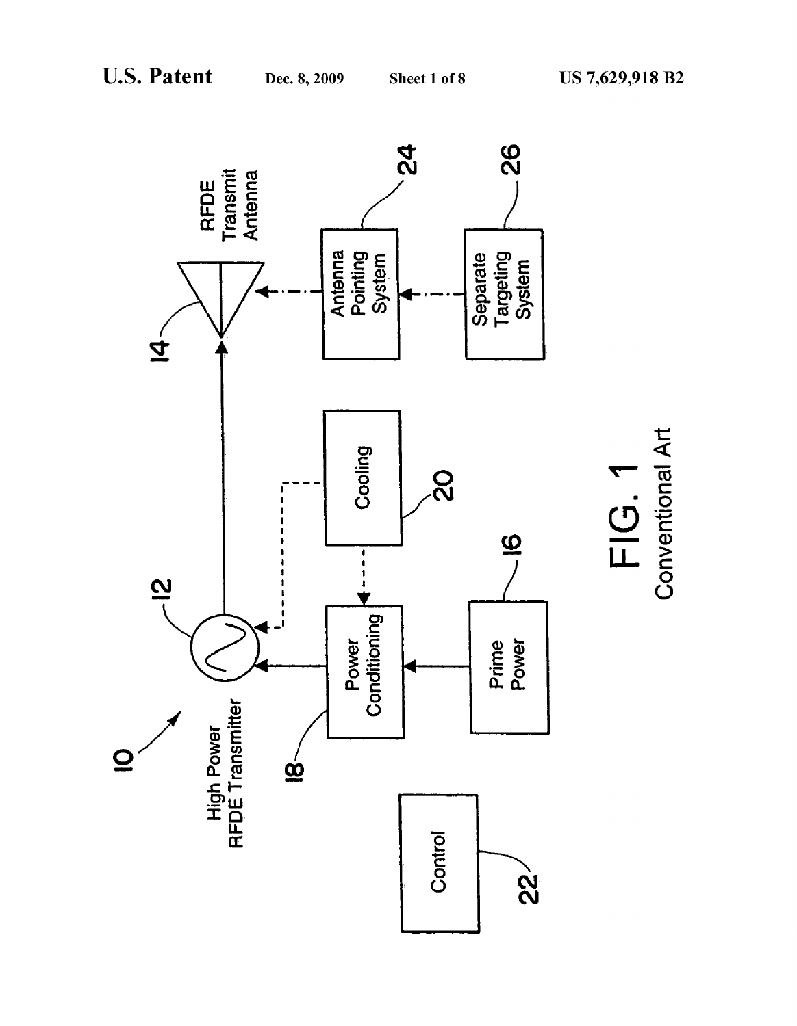

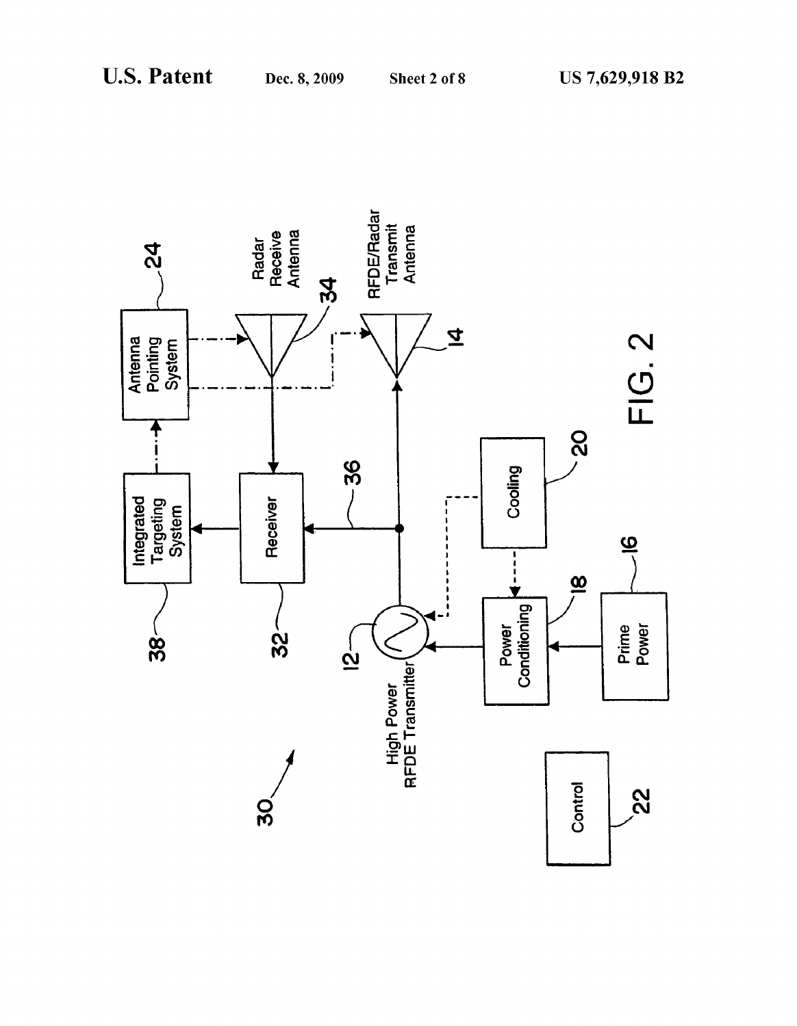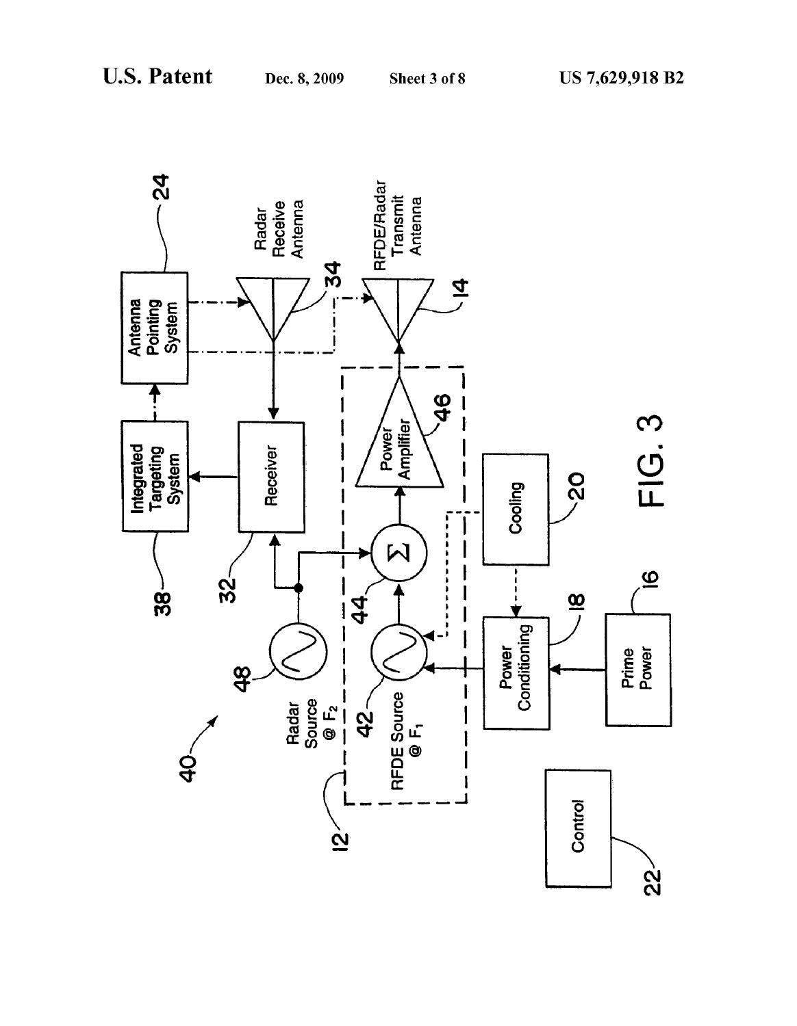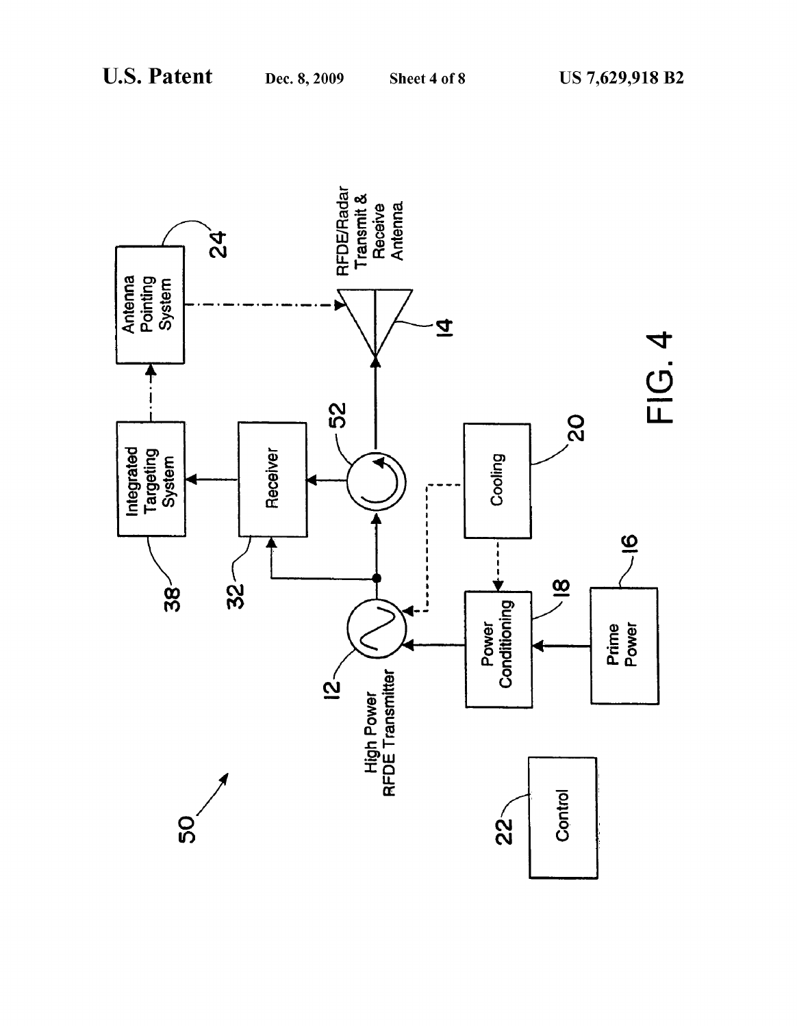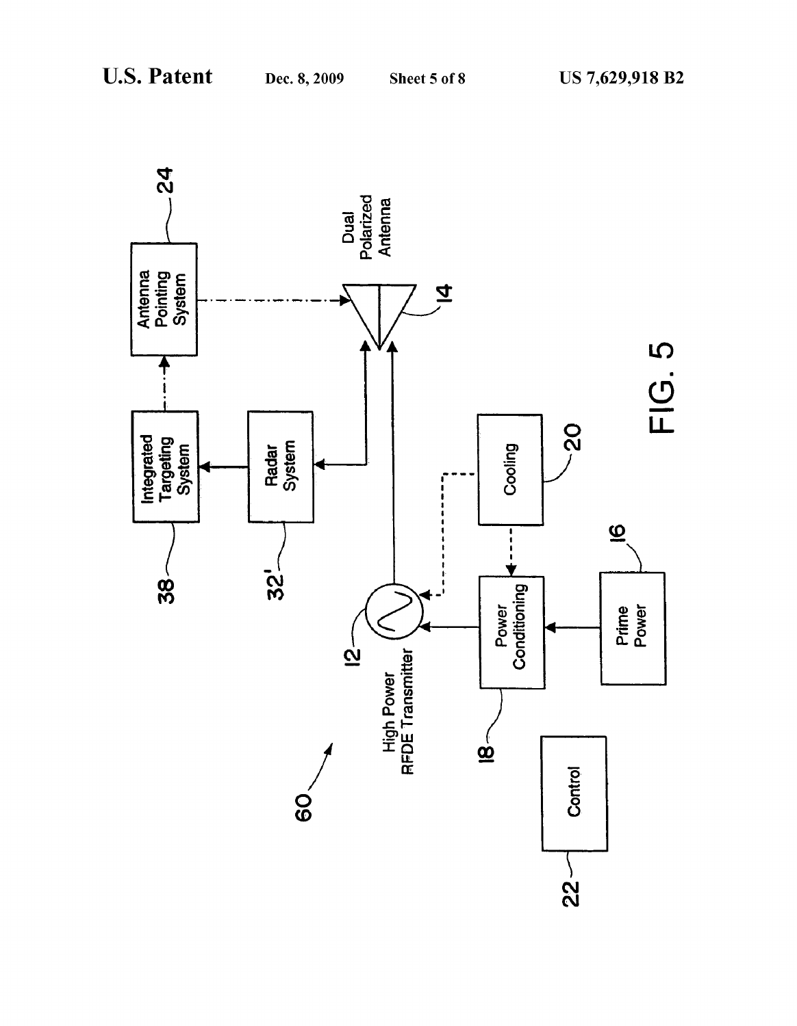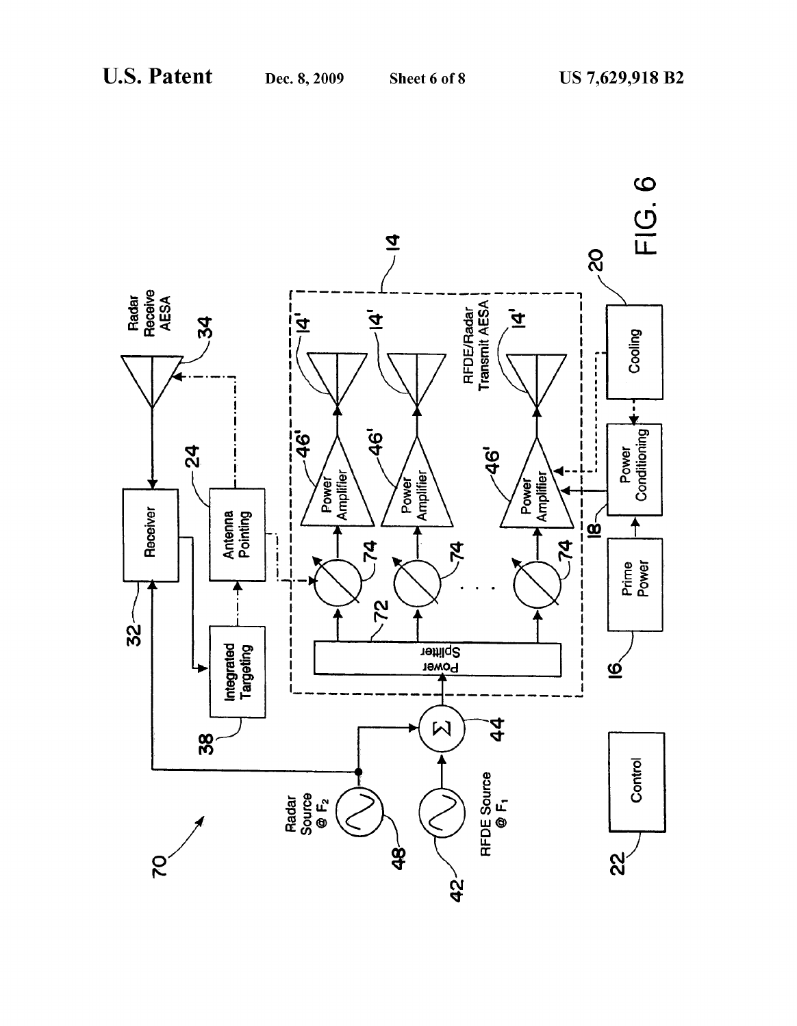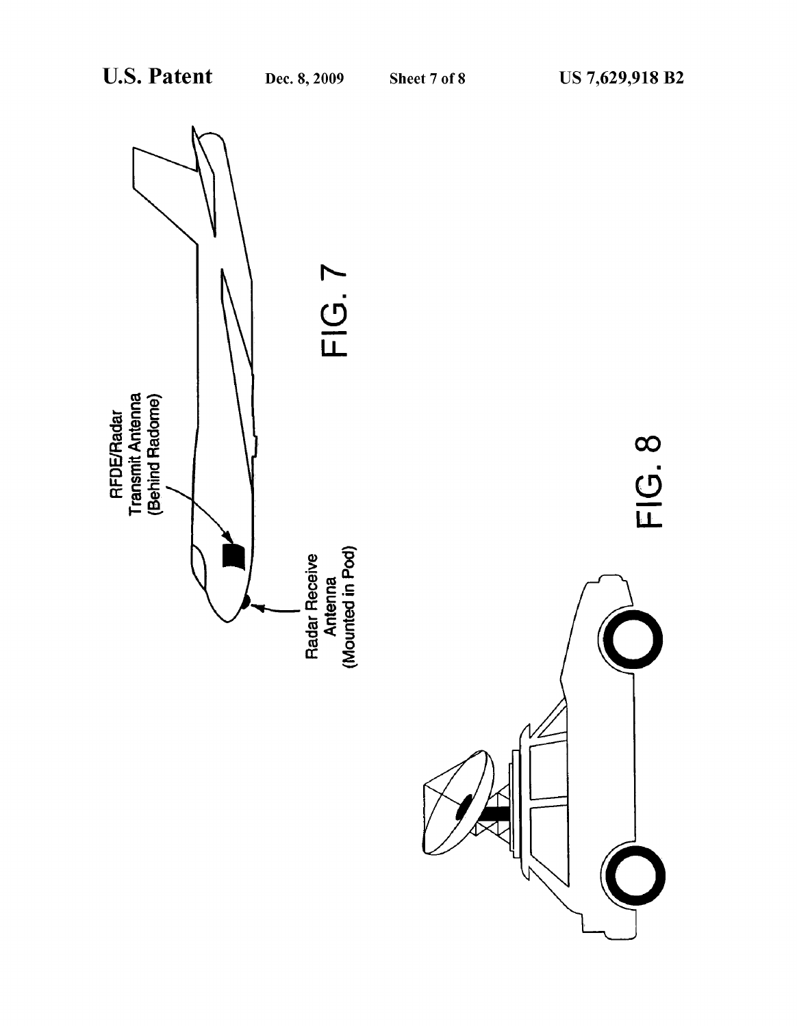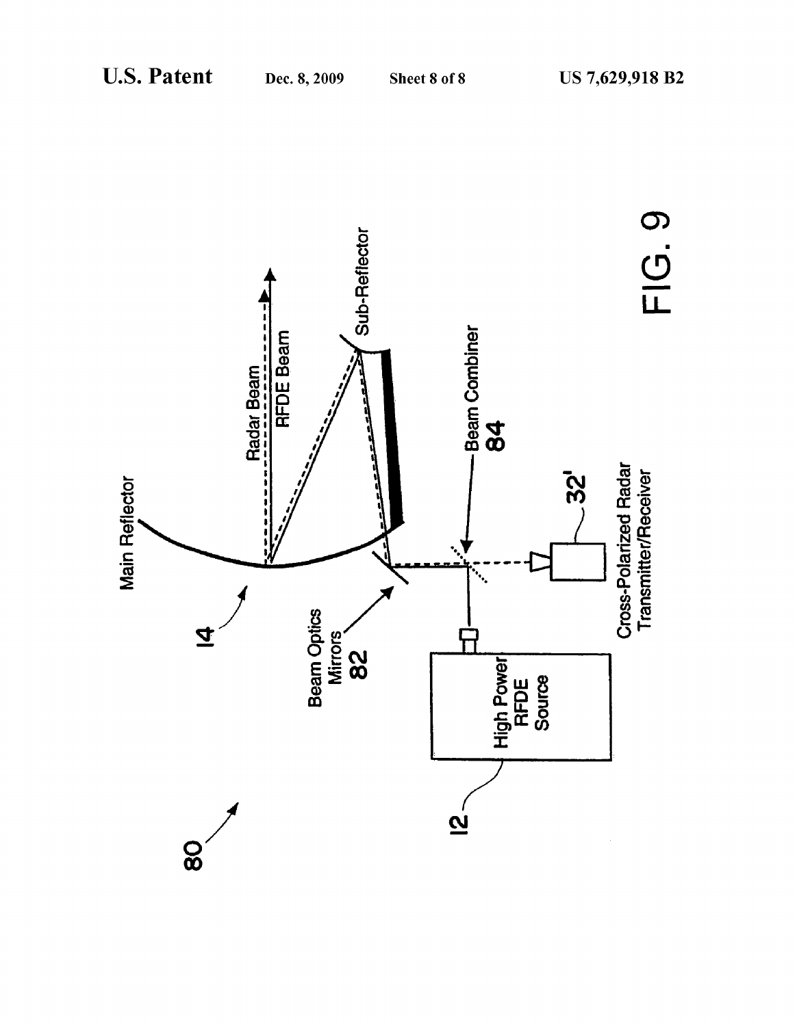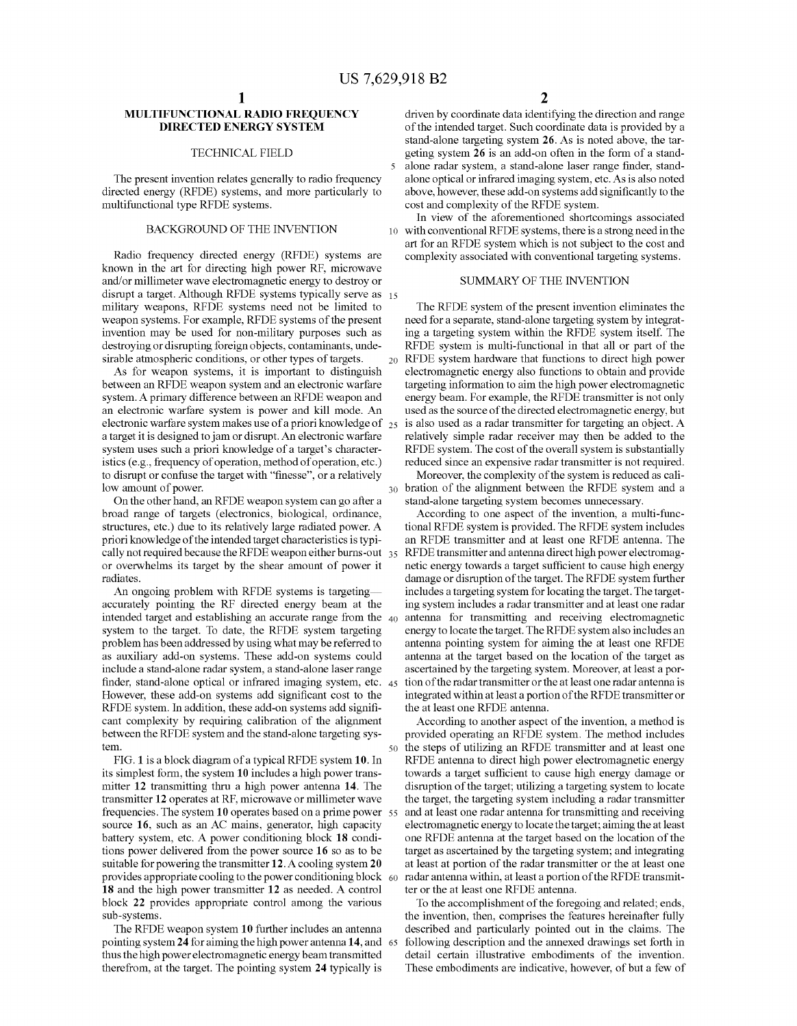50

65

# MULTIFUNCTIONAL RADIO FREQUENCY DIRECTED ENERGY SYSTEM

### TECHNICAL FIELD

The present invention relates generally to radio frequency directed energy (RFDE) systems, and more particularly to multifunctional type RFDE systems.

### BACKGROUND OF THE INVENTION

Radio frequency directed energy (RFDE) systems are known in the art for directing high power RF, microwave and/or millimeter wave electromagnetic energy to destroy or disrupt a target. Although RFDE systems typically serve as 15 military weapons, RFDE systems need not be limited to weapon systems. For example, RFDE systems of the present invention may be used for non-military purposes such as destroying or disrupting foreign objects, contaminants, unde sirable atmospheric conditions, or other types of targets.

As for weapon systems, it is important to distinguish between an RFDE weapon system and an electronic warfare system. A primary difference between an RFDE weapon and an electronic warfare system is power and kill mode. An electronic warfare system makes use of a priori knowledge of 25 a target it is designed to jam or disrupt. An electronic warfare system uses such a priori knowledge of a target's character istics (e.g., frequency of operation, method of operation, etc.) to disrupt or confuse the target with "finesse', or a relatively low amount of power.

On the other hand, an RFDE weapon system can go after a broad range of targets (electronics, biological, ordinance, structures, etc.) due to its relatively large radiated power. A priori knowledge of the intended target characteristics is typi cally not required because the RFIDE weapon either burns-out 35 or overwhelms its target by the shear amount of power it radiates.

An ongoing problem with RFDE Systems is targeting accurately pointing the RF directed energy beam at the intended target and establishing an accurate range from the 40 system to the target. To date, the RFDE system targeting problem has been addressed by using what may be referred to as auxiliary add-on systems. These add-on systems could include a stand-alone radar system, a stand-alone laser range finder, stand-alone optical or infrared imaging system, etc. 45 However, these add-on systems add significant cost to the RFDE system. In addition, these add-on systems add signifi cant complexity by requiring calibration of the alignment between the RFDE system and the stand-alone targeting sys tem.

FIG. 1 is a block diagram of a typical RFDE system 10. In its simplest form, the system 10 includes a high power trans mitter 12 transmitting thru a high power antenna 14. The transmitter 12 operates at RF, microwave or millimeter wave frequencies. The system 10 operates based on a prime power 55 source 16, such as an AC mains, generator, high capacity battery system, etc. A power conditioning block 18 condi tions power delivered from the power source 16 so as to be suitable for powering the transmitter 12. A cooling system 20 provides appropriate cooling to the power conditioning block 60 18 and the high power transmitter 12 as needed. A control block 22 provides appropriate control among the various sub-systems.

The RFDE weapon system 10 further includes an antenna pointing system 24 for aiming the high power antenna14, and thus the high power electromagnetic energy beam transmitted therefrom, at the target. The pointing system 24 typically is

driven by coordinate data identifying the direction and range of the intended target. Such coordinate data is provided by a stand-alone targeting system 26. AS is noted above, the tar geting system 26 is an add-on often in the form of a stand alone radar system, a stand-alone laser range finder, stand alone optical or infrared imaging system, etc. AS is also noted above, however, these add-on systems add significantly to the cost and complexity of the RFDE system.

10 with conventional RFDE systems, there is a strong need in the In view of the aforementioned shortcomings associated art for an RFDE system which is not subject to the cost and complexity associated with conventional targeting systems.

### SUMMARY OF THE INVENTION

The RFDE system of the present invention eliminates the need for a separate, stand-alone targeting system by integrat ing a targeting system within the RFDE system itself. The RFDE system is multi-functional in that all or part of the  $_{20}$  RFDE system hardware that functions to direct high power electromagnetic energy also functions to obtain and provide targeting information to aim the high power electromagnetic energy beam. For example, the RFDE transmitter is not only used as the source of the directed electromagnetic energy, but is also used as a radar transmitter for targeting an object. A relatively simple radar receiver may then be added to the RFDE system. The cost of the overall system is substantially reduced since an expensive radar transmitter is not required.

30 Moreover, the complexity of the system is reduced as cali bration of the alignment between the RFDE system and a stand-alone targeting system becomes unnecessary.

According to one aspect of the invention, a multi-functional RFDE system is provided. The RFDE system includes an RFDE transmitter and at least one RFDE antenna. The RFDE transmitter and antenna direct high power electromagnetic energy towards a target sufficient to cause high energy damage or disruption of the target. The RFDE system further includes a targeting system for locating the target. The target ing system includes a radar transmitter and at least one radar antenna for transmitting and receiving electromagnetic energy to locate the target. The RFDE system also includes an antenna pointing system for aiming the at least one RFDE antenna at the target based on the location of the target as ascertained by the targeting system. Moreover, at least a por tion of the radar transmitter or the at least one radarantennais integrated within at least a portion of the RFDE transmitter or the at least one RFDE antenna.

According to another aspect of the invention, a method is provided operating an RFDE system. The method includes the steps of utilizing an RFDE transmitter and at least one RFDE antenna to direct high power electromagnetic energy towards a target sufficient to cause high energy damage or disruption of the target, utilizing a targeting system to locate the target, the targeting system including a radar transmitter and at least one radar antenna for transmitting and receiving electromagnetic energy to locate the target; aiming the at least one RFDE antenna at the target based on the location of the target as ascertained by the targeting system; and integrating at least at portion of the radar transmitter or the at least one radar antenna within, at least a portion of the RFDE transmitter or the at least one RFDE antenna.

To the accomplishment of the foregoing and related; ends, the invention, then, comprises the features hereinafter fully described and particularly pointed out in the claims. The following description and the annexed drawings set forth in detail certain illustrative embodiments of the invention. These embodiments are indicative, however, of but a few of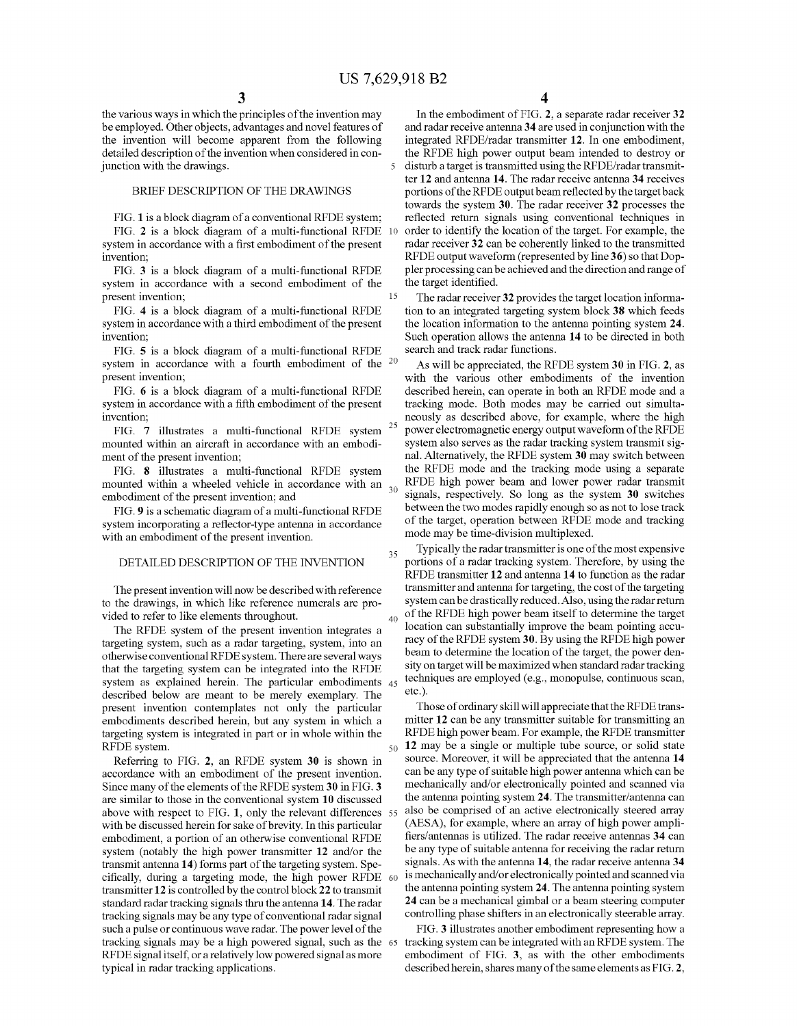15

35

40

the various ways in which the principles of the invention may be employed. Other objects, advantages and novel features of the invention will become apparent from the following detailed description of the invention when considered in con-<br>iunction with the drawings. junction with the drawings.

## BRIEF DESCRIPTION OF THE DRAWINGS

FIG. 1 is a block diagram of a conventional RFDE system; FIG. 2 is a block diagram of a multi-functional RFDE system in accordance with a first embodiment of the present invention; 10

FIG. 3 is a block diagram of a multi-functional RFDE system in accordance with a second embodiment of the present invention;

FIG. 4 is a block diagram of a multi-functional RFDE system in accordance with a third embodiment of the present invention;

FIG. 5 is a block diagram of a multi-functional RFDE system in accordance with a fourth embodiment of the present invention;

FIG. 6 is a block diagram of a multi-functional RFDE system in accordance with a fifth embodiment of the present invention;

FIG. 7 illustrates a multi-functional RFDE system  $^{25}$ mounted within an aircraft in accordance with an embodi ment of the present invention;

FIG. 8 illustrates a multi-functional RFDE system mounted within a wheeled vehicle in accordance with an  $_{30}$ embodiment of the present invention; and

FIG.9 is a schematic diagram of a multi-functional RFDE system incorporating a reflector-type antenna in accordance with an embodiment of the present invention.

# DETAILED DESCRIPTION OF THE INVENTION

The present invention will now be described with reference to the drawings, in which like reference numerals are pro vided to refer to like elements throughout.

The RFDE system of the present invention integrates a targeting system, such as a radar targeting, system, into an otherwise conventional RFDE system. There are several ways that the targeting system can be integrated into the RFDE system as explained herein. The particular embodiments 45 described below are meant to be merely exemplary. The present invention contemplates not only the particular embodiments described herein, but any system in which a targeting system is integrated in part or in whole within the RFDE system.

Referring to FIG. 2, an RFDE system 30 is shown in accordance with an embodiment of the present invention. Since many of the elements of the RFDE system 30 in FIG.3 are similar to those in the conventional system 10 discussed above with respect to FIG. 1, only the relevant differences 55 with be discussed herein for sake of brevity. In this particular embodiment, a portion of an otherwise conventional RFDE system (notably the high power transmitter 12 and/or the transmit antenna 14) forms part of the targeting system. Spetransmit antenna 14) forms part of the targeting system. Spe-<br>cifically, during a targeting mode, the high power RFDE 60 transmitter 12 is controlled by the control block 22 to transmit standard radar tracking signals thru the antenna 14. The radar tracking signals may be any type of conventional radar signal such a pulse or continuous wave radar. The power level of the tracking signals may be a high powered signal, such as the 65 RFDE signal itself, or a relatively low powered signal as more typical in radar tracking applications.

4

In the embodiment of FIG. 2, a separate radar receiver 32 and radar receive antenna 34 are used in conjunction with the integrated RFDE/radar transmitter 12. In one embodiment, the RFDE high power output beam intended to destroy or disturb a target is transmitted using the RFDE/radar transmit ter 12 and antenna 14. The radar receive antenna 34 receives portions of the RFIDE output beam reflected by the target back towards the system 30. The radar receiver 32 processes the reflected return signals using conventional techniques in order to identify the location of the target. For example, the radar receiver 32 can be coherently linked to the transmitted RFDE output waveform (represented by line 36) so that Doppler processing can beachieved and the direction and range of the target identified.

The radar receiver 32 provides the target location informa tion to an integrated targeting system block 38 which feeds the location information to the antenna pointing system 24. Such operation allows the antenna 14 to be directed in both search and track radar functions.

As will be appreciated, the RFDE system 30 in FIG. 2, as with the various other embodiments of the invention described herein, can operate in both an RFDE mode and a tracking mode. Both modes may be carried out simulta neously as described above, for example, where the high power electromagnetic energy output waveform of the RFDE system also serves as the radar tracking system transmit sig nal. Alternatively, the RFDE system 30 may switch between the RFIDE mode and the tracking mode using a separate RFDE high power beam and lower power radar transmit signals, respectively. So long as the system 30 switches between the two modes rapidly enough so as not to lose track of the target, operation between RFDE mode and tracking mode may be time-division multiplexed.

Typically the radar transmitter is one of the most expensive portions of a radar tracking system. Therefore, by using the RFIDE transmitter 12 and antenna 14 to function as the radar transmitter and antenna for targeting, the cost of the targeting system can be drastically reduced. Also, using the radar return<br>of the RFDE high power beam itself to determine the target location can substantially improve the beam pointing accuracy of the RFDE system 30. By using the RFDE high power beam to determine the location of the target, the power density on target will be maximized when standard radar tracking techniques are employed (e.g., monopulse, continuous scan, etc.).

50 Those of ordinary skill will appreciate that the RFDE trans mitter 12 can be any transmitter suitable for transmitting an RFDE high power beam. For example, the RFDE transmitter 12 may be a single or multiple tube source, or solid state source. Moreover, it will be appreciated that the antenna 14 can be any type of Suitable high power antenna which can be mechanically and/or electronically pointed and scanned via the antenna pointing system 24. The transmitter/antenna can also be comprised of an active electronically steered array (AESA), for example, where an array of high power ampli fiers/antennas is utilized. The radar receive antennas 34 can be any type of suitable antenna for receiving the radar return signals. As with the antenna 14, the radar receive antenna 34 is mechanically and/or electronically pointed and scanned via the antenna pointing system 24. The antenna pointing system 24 can be a mechanical gimbal or a beam steering computer controlling phase shifters in an electronically steerable array.

FIG. 3 illustrates another embodiment representing how a tracking system can be integrated with an RFDE system. The embodiment of FIG. 3, as with the other embodiments described herein, shares many of the same elements as FIG.2,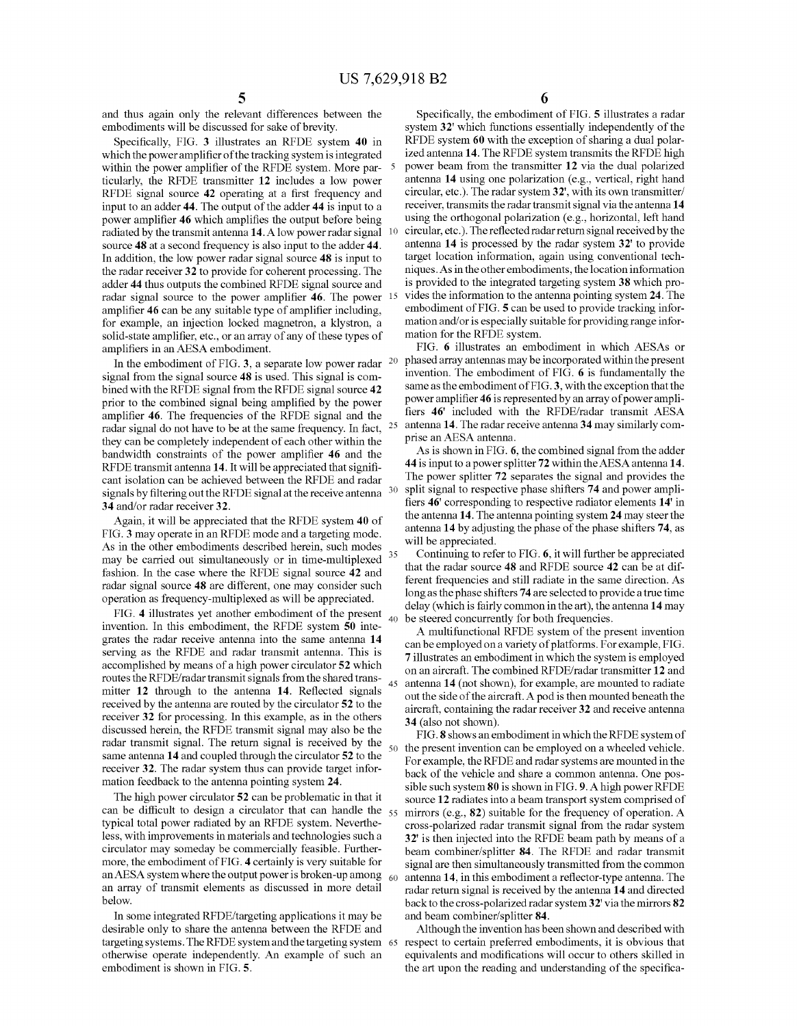35

40

45

50

and thus again only the relevant differences between the embodiments will be discussed for sake of brevity.

Specifically, FIG. 3 illustrates an RFDE system 40 in which the power amplifier of the tracking system is integrated within the power amplifier of the RFDE system. More particularly, the RFDE transmitter 12 includes a low power RFDE signal source 42 operating at a first frequency and input to an adder 44. The output of the adder 44 is input to a power amplifier 46 which amplifies the output before being radiated by the transmit antenna 14. A low power radar signal source 48 at a second frequency is also input to the adder 44. In addition, the low power radar signal source 48 is input to the radar receiver 32 to provide for coherent processing. The adder 44 thus outputs the combined RFDE signal source and amplifier 46 can be any suitable type of amplifier including, for example, an injection locked magnetron, a klystron, a solid-state amplifier, etc., or an array of any of these types of amplifiers in an AESA embodiment. 10 radar signal source to the power amplifier 46. The power 15

In the embodiment of FIG. 3, a separate low power radar  $20$ signal from the signal source 48 is used. This signal is combined with the RFDE signal from the RFDE signal source 42 prior to the combined signal being amplified by the power amplifier 46. The frequencies of the RFDE signal and the radar signal do not have to be at the same frequency. In fact,  $25$ they can be completely independent of each other within the bandwidth constraints of the power amplifier 46 and the RFDE transmit antenna 14. It will be appreciated that significant isolation can be achieved between the RFDE and radar signals by filtering out the RFDE signal at the receive antenna  $30$ 34 and/or radar receiver 32.

Again, it will be appreciated that the RFDE system 40 of FIG.3 may operate in an RFDE mode and a targeting mode. As in the other embodiments described herein, such modes may be carried out simultaneously or in time-multiplexed fashion. In the case where the RFDE signal source 42 and radar signal source 48 are different, one may consider such operation as frequency-multiplexed as will be appreciated.

FIG. 4 illustrates yet another embodiment of the present invention. In this embodiment, the RFDE system 50 inte grates the radar receive antenna into the same antenna 14 serving as the RFDE and radar transmit antenna. This is accomplished by means of a high power circulator 52 which routes the RFDE/radar transmit signals from the shared trans mitter 12 through to the antenna 14. Reflected signals received by the antenna are routed by the circulator 52 to the receiver 32 for processing. In this example, as in the others discussed herein, the RFDE transmit signal may also be the radar transmit signal. The return signal is received by the same antenna 14 and coupled through the circulator 52 to the receiver 32. The radar system thus can provide target infor mation feedback to the antenna pointing system 24.

The high power circulator 52 can be problematic in that it can be difficult to design a circulator that can handle the  $_{55}$ typical total power radiated by an RFDE system. Neverthe less, with improvements in materials and technologies such a circulator may someday be commercially feasible. Further more, the embodiment of FIG. 4 certainly is very suitable for an AESA system where the output power is broken-up among  $_{60}$ an array of transmit elements as discussed in more detail below.

In some integrated RFDE/targeting applications it may be desirable only to share the antenna between the RFDE and targeting systems. The RFDE systemand the targeting system 65 otherwise operate independently. An example of Such an embodiment is shown in FIG. 5.

6

Specifically, the embodiment of FIG. 5 illustrates a radar system 32' which functions essentially independently of the RFDE system 60 with the exception of sharing a dual polar ized antenna 14. The RFDE system transmits the RFDE high power beam from the transmitter 12 via the dual polarized antenna 14 using one polarization (e.g., vertical, right hand circular, etc.). The radar system32, with its own transmitter/ receiver, transmits the radar transmit signal via the antenna 14 using the orthogonal polarization (e.g., horizontal, left hand circular, etc.). The reflected radar return signal received by the antenna 14 is processed by the radar system 32 to provide target location information, again using conventional tech niques. As in the other embodiments, the location information is provided to the integrated targeting system 38 which pro vides the information to the antenna pointing system 24. The embodiment of FIG. 5 can be used to provide tracking infor mation and/or is especially suitable for providing range information for the RFDE system.

FIG. 6 illustrates an embodiment in which AESAS or phased array antennas may be incorporated within the present invention. The embodiment of FIG. 6 is fundamentally the same as the embodiment of FIG.3, with the exception that the power amplifier 46 is represented by an array of power ampli fiers 46' included with the RFDE/radar transmit AESA antenna 14. The radar receive antenna 34 may similarly com prise an AESA antenna.

As is shown in FIG. 6, the combined signal from the adder 44 is input to a power splitter 72 within the AESA antenna 14. The power splitter 72 separates the signal and provides the split signal to respective phase shifters 74 and power ampli fiers 46' corresponding to respective radiator elements 14' in the antenna 14. The antenna pointing system 24 may steer the antenna 14 by adjusting the phase of the phase shifters 74, as will be appreciated.

Continuing to refer to FIG. 6, it will further be appreciated that the radar source 48 and RFDE source 42 can be at dif ferent frequencies and still radiate in the same direction. As long as the phase shifters 74 are selected to provide a true time<br>delay (which is fairly common in the art), the antenna 14 may be steered concurrently for both frequencies.

A multifunctional RFDE system of the present invention can be employed on a variety of platforms. For example, FIG. on an aircraft. The combined RFDE/radar transmitter 12 and antenna 14 (not shown), for example, are mounted to radiate out the side of the aircraft. A pod is then mounted beneath the aircraft, containing the radar receiver 32 and receive antenna 34 (also not shown).

FIG.8 shows an embodiment in which the RFDE system of the present invention can be employed on a wheeled vehicle. For example, the RFDE and radar systems are mounted in the back of the vehicle and share a common antenna. One possible such system 80 is shown in FIG. 9. A high power RFDE source 12 radiates into a beam transport system comprised of mirrors (e.g., 82) suitable for the frequency of operation. A cross-polarized radar transmit signal from the radar system 32' is then injected into the RFDE beam path by means of a beam combiner/splitter 84. The RFDE and radar transmit signal are then simultaneously transmitted from the common antenna 14, in this embodiment a reflector-type antenna. The radar return signal is received by the antenna 14 and directed back to the cross-polarized radar system 32' via the mirrors 82 and beam combiner/splitter 84.

Although the invention has been shown and described with respect to certain preferred embodiments, it is obvious that equivalents and modifications will occur to others skilled in the art upon the reading and understanding of the specifica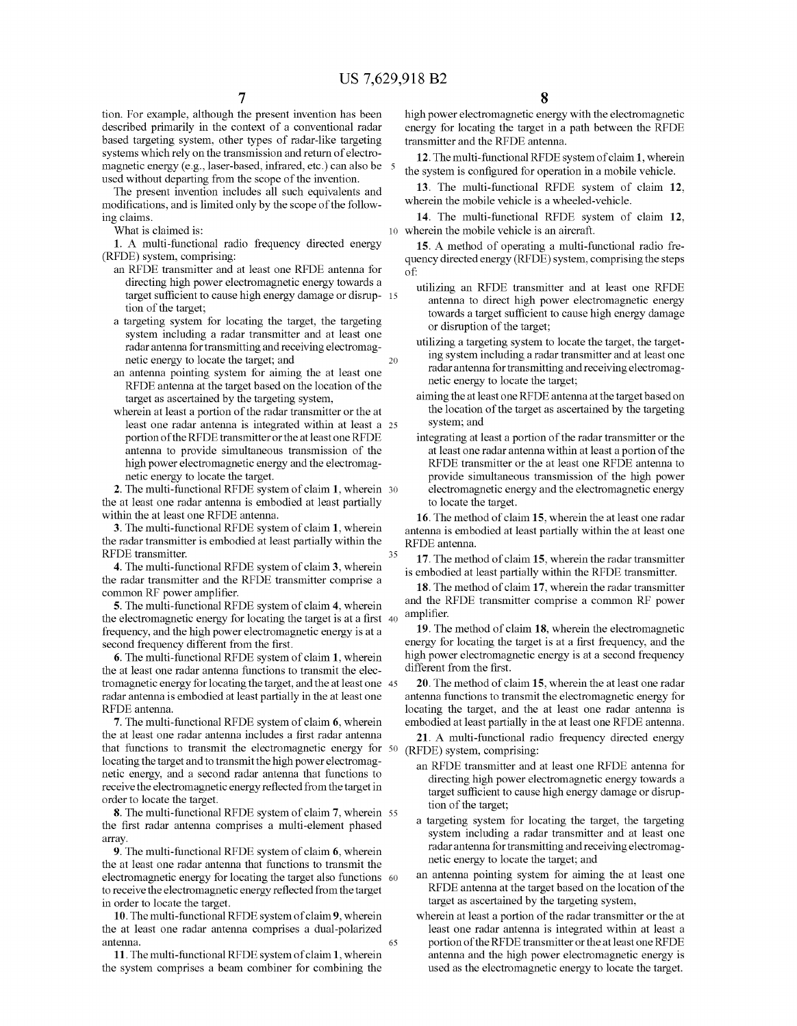tion. For example, although the present invention has been described primarily in the context of a conventional radar based targeting system, other types of radar-like targeting systems which rely on the transmission and return of electro magnetic energy (e.g., laser-based, infrared, etc.) can also be used without departing from the scope of the invention.

The present invention includes all such equivalents and modifications, and is limited only by the scope of the follow ing claims.

What is claimed is:

1. A multi-functional radio frequency directed energy (RFDE) system, comprising:<br>an RFDE transmitter and at least one RFDE antenna for

- directing high power electromagnetic energy towards a target sufficient to cause high energy damage or disrup- 15 tion of the target;
- a targeting system for locating the target, the targeting system including a radar transmitter and at least one radarantenna for transmitting and receiving electromag netic energy to locate the target; and
- an antenna pointing system for aiming the at least one RFDE antenna at the target based on the location of the target as ascertained by the targeting system,
- wherein at least a portion of the radar transmitter or the at least one radar antenna is integrated within at least a 25 portion of the RFIDE transmitter or the at least one RFDE antenna to provide simultaneous transmission of the high power electromagnetic energy and the electromag netic energy to locate the target.

2. The multi-functional RFDE system of claim 1, wherein 30 the at least one radar antenna is embodied at least partially within the at least one RFDE antenna.

3. The multi-functional RFDE system of claim 1, wherein the radar transmitter is embodied at least partially within the RFDE transmitter.

4. The multi-functional RFDE system of claim 3, wherein the radar transmitter and the RFIDE transmitter comprise a common RF power amplifier.

5. The multi-functional RFDE system of claim 4, wherein the electromagnetic energy for locating the target is at a first 40 frequency, and the high power electromagnetic energy is at a second frequency different from the first.

6. The multi-functional RFDE system of claim 1, wherein the at least one radar antenna functions to transmit the elec tromagnetic energy for locating the target, and the at least one 45 radar antenna is embodied at least partially in the at least one RFDE antenna.

7. The multi-functional RFDE system of claim 6, wherein the at least one radar antenna includes a first radar antenna that functions to transmit the electromagnetic energy for 50 locating the target and to transmit the high power electromag netic energy, and a second radar antenna that functions to receive the electromagnetic energy reflected from the target in order to locate the target.

8. The multi-functional RFDE system of claim 7, wherein 55 the first radar antenna comprises a multi-element phased array.

9. The multi-functional RFDE system of claim 6, wherein the at least one radar antenna that functions to transmit the electromagnetic energy for locating the target also functions 60 to receive the electromagnetic energy reflected from the target in order to locate the target.

10. The multi-functional RFDE system of claim 9, wherein the at least one radar antenna comprises a dual-polarized antenna. 65

11. The multi-functional RFDE system of claim 1, wherein the system comprises a beam combiner for combining the high power electromagnetic energy with the electromagnetic energy for locating the target in a path between the RFDE transmitter and the RFIDE antenna.

12. The multi-functional RFDE system of claim 1, wherein the system is configured for operation in a mobile vehicle.

13. The multi-functional RFDE system of claim 12, wherein the mobile vehicle is a wheeled-vehicle.

10 wherein the mobile vehicle is an aircraft. 14. The multi-functional RFDE system of claim 12,

15. A method of operating a multi-functional radio fre quency directed energy (RFDE) system, comprising the steps of:

- utilizing an RFDE transmitter and at least one RFDE antenna to direct high power electromagnetic energy towards a target sufficient to cause high energy damage or disruption of the target;
- utilizing a targeting system to locate the target, the target ing system including a radar transmitter and at least one radarantenna for transmitting and receiving electromag netic energy to locate the target;
- aiming the at least one RFDE antenna at the target based on the location of the target as ascertained by the targeting system; and
- integrating at least a portion of the radar transmitter or the at least one radarantenna within at least a portion of the RFIDE transmitter or the at least one RFIDE antenna to provide simultaneous transmission of the high power electromagnetic energy and the electromagnetic energy to locate the target.

16. The method of claim 15, wherein the at least one radar antenna is embodied at least partially within the at least one RFDE antenna.

17. The method of claim 15, wherein the radar transmitter is embodied at least partially within the RFDE transmitter.

18. The method of claim 17, wherein the radar transmitter and the RFIDE transmitter comprise a common RF power amplifier.

19. The method of claim 18, wherein the electromagnetic energy for locating the target is at a first frequency, and the high power electromagnetic energy is at a second frequency different from the first.

20. The method of claim 15, wherein the at least one radar antenna functions to transmit the electromagnetic energy for locating the target, and the at least one radar antenna is embodied at least partially in the at least one RFDE antenna.

21. A multi-functional radio frequency directed energy (RFDE) system, comprising:<br>an RFDE transmitter and at least one RFDE antenna for

- directing high power electromagnetic energy towards a target sufficient to cause high energy damage or disruption of the target;
- a targeting system for locating the target, the targeting system including a radar transmitter and at least one radarantenna for transmitting and receiving electromag netic energy to locate the target; and
- an antenna pointing system for aiming the at least one RFDE antenna at the target based on the location of the target as ascertained by the targeting system,
- wherein at least a portion of the radar transmitter or the at least one radar antenna is integrated within at least a portion of the RFIDE transmitter or the at least one RFDE antenna and the high power electromagnetic energy is used as the electromagnetic energy to locate the target.

35

20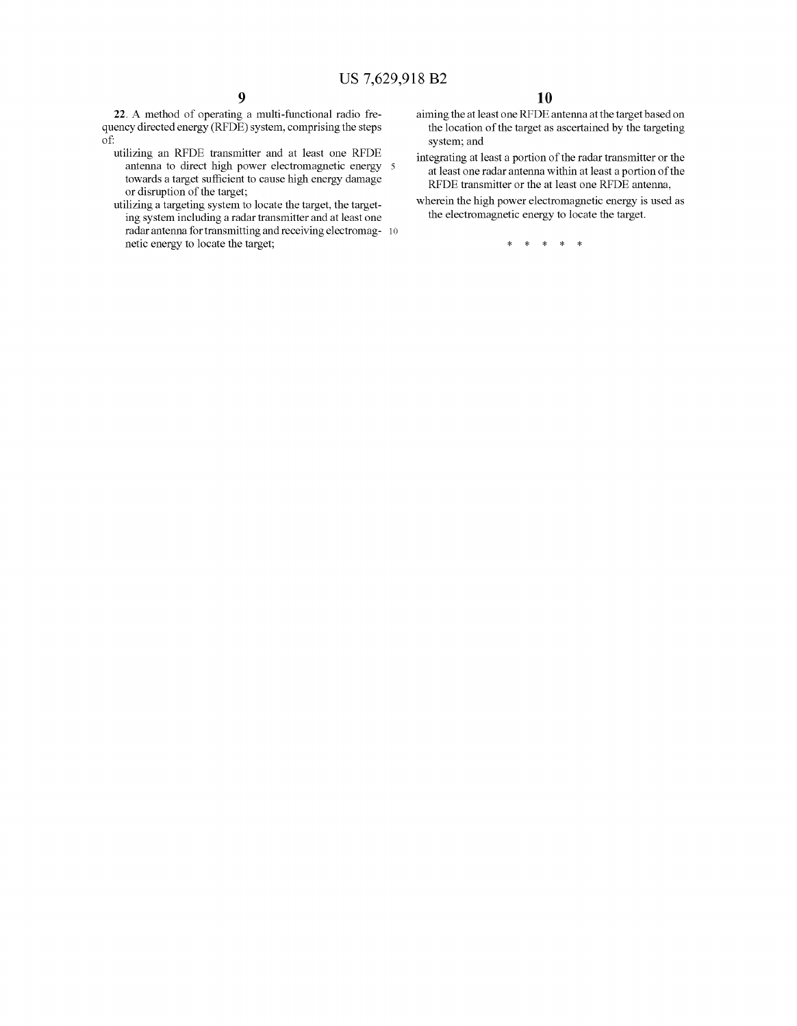22. A method of operating a multi-functional radio fre quency directed energy (RFDE) system, comprising the steps of:

- utilizing an RFDE transmitter and at least one RFDE antenna to direct high power electromagnetic energy towards a target sufficient to cause high energy damage or disruption of the target;
- utilizing a targeting system to locate the target, the target ing system including a radar transmitter and at least one radar antenna for transmitting and receiving electromag- 10  $^{\circ}$ netic energy to locate the target;
- aiming the at least one RFDE antenna at the target based on the location of the target as ascertained by the targeting system; and
- integrating at least a portion of the radar transmitter or the at least one radarantenna within at least a portion of the RFDE transmitter or the at least one RFDE antenna,
- wherein the high power electromagnetic energy is used as the electromagnetic energy to locate the target.

 $\rightarrow$  $*$  \*  $\ast$